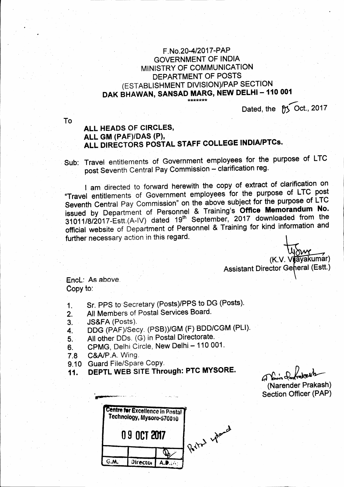## F.No.20-4/2017-PAP **GOVERNMENT OF INDIA** MINISTRY OF COMMUNICATION DEPARTMENT OF POSTS (ESTABLISHMENT DIVISION)/PAP SECTION DAK BHAWAN, SANSAD MARG, NEW DELHI - 110 001

Dated, the for Oct., 2017

To

## ALL HEADS OF CIRCLES, ALL GM (PAF)/DAS (P), ALL DIRECTORS POSTAL STAFF COLLEGE INDIA/PTCs.

Sub: Travel entitlements of Government employees for the purpose of LTC post Seventh Central Pay Commission - clarification reg.

I am directed to forward herewith the copy of extract of clarification on "Travel entitlements of Government employees for the purpose of LTC post Seventh Central Pay Commission" on the above subject for the purpose of LTC issued by Department of Personnel & Training's Office Memorandum No. 31011/8/2017-Estt (A-IV) dated 19th September, 2017 downloaded from the official website of Department of Personnel & Training for kind information and further necessary action in this regard.

(K.V. Vijayakumar) Assistant Director General (Estt.)

Encl: As above. Copy to:

- Sr. PPS to Secretary (Posts)/PPS to DG (Posts).  $1<sub>1</sub>$
- All Members of Postal Services Board.  $2.$
- **JS&FA (Posts).** 3.
- DDG (PAF)/Secy. (PSB))/GM (F) BDD/CGM (PLI).  $4.$
- All other DDs. (G) in Postal Directorate. 5.
- CPMG, Delhi Circle, New Delhi 110 001. 6.
- C&A/P.A. Wing.  $7.8$
- 9.10 Guard File/Spare Copy.
- DEPTL WEB SITE Through: PTC MYSORE. 11.

There's fax (Narender Prakash) **Section Officer (PAP)** 

|              | Centre for Excellence in Postal<br>Technology, Mysore-570010 |  |      |
|--------------|--------------------------------------------------------------|--|------|
| 0 9 OCT 2017 |                                                              |  |      |
|              |                                                              |  | 0.11 |
|              | <b>Director</b>                                              |  |      |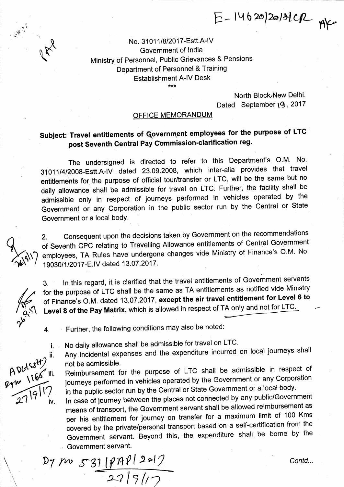$E-14620|20131CPL$   $pX$ 

No. 31011/8/2017-Estt.A-IV Government of India Ministry of Personnel, Public Grievances & Pensions Department of Personnel & Training Establishment A-lV Desk

U RY

North Block New Delhi. Dated September 19, 2017

### OFFICE MEMORANDUM

# Subject: Travel entitlements of Government employees for the purpose of LTC post Seventh Central Pay Commission-clarification reg.

The undersigned is directed to refer to this Department's O.M. No. 31011/4/2008-Estt.A-IV dated 23.09.2008, which inter-alia provides that travel entilements for the purpose of official tour/transfer or LTC, will be the same but no daily allowance shall be admissible for travel on LTC. Further, the facility shall be admissible only in respect of journeys performed in vehicles operated by the Government or any Corporation in the public sector run by the Central or State Government or a local body.

2. Consequent upon the decisions taken by Government on the recommendations of Seventh cpc relating to Travelling Allowance entitlements of Gentral Government employees, TA Rules have undergone changes vide Ministry of Finance's O.M. No. 19030/1/2017-E.IV dated 13.07.2017.

3. In this regard, it is clarified that the travel entitlements of Governrnent servants for the purpose of LTC shall be the same as TA entitlements as notified vide Ministry of Finance's O.M. dated 13.07.2017, except the air travel entitlement for Level 6 to Level 8 of the Pay Matrix, which is allowed in respect of TA only and not for LTC.

Further, the following conditions may also be noted: 4.

- No daily allowance shall be admissible for travel on LTC.
- Any incidental expenses and the expenditure incurred on local journeys shall ADGLCsH) 11<br>Pyn 1160 111 not be admissible.

Reimbursement for the purpose of LTC shall be admissible in respect of journeys performed in vehicles operated by the Government or any Corporation in the public sector run by the Central or State Government or a local body.

In case of journey between the places not connected by any public/Government means of transport, the Government servant shall be allowed reimbursement as per his entitlement for journey on transfer for a maximum limit of 100 Kms covered by the private/personal transport based on a self-certification from the Governrnent servant. Beyond this, the expenditure shall be borne by the Government servant.

D7 M 531 187912017  $\frac{1}{22|3|1}$ 

Contd...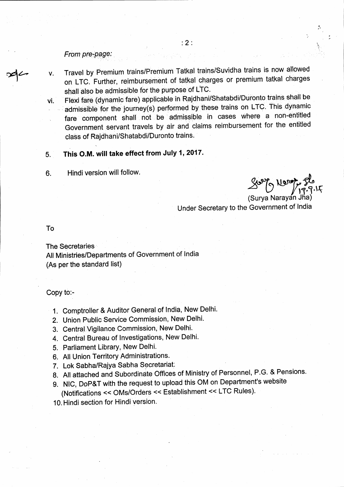### From pre-page:

- Travel by Premium trains/Premium Tatkal trains/Suvidha trains is now allowed V. on LTC. Further, reimbursement of tatkal charges or premium tatkal charges shall also be admissible for the purpose of LTC.
- Flexi fare (dynamic fare) applicable in Rajdhani/Shatabdi/Duronto trains shall be vì. admissible for the journey(s) performed by these trains on LTC. This dynamic fare component shall not be admissible in cases where a non-entitled Government servant travels by air and claims reimbursement for the entitled class of Rajdhani/Shatabdi/Duronto trains.

#### This O.M. will take effect from July 1, 2017. 5.

Hindi version will follow. 6.

(Surya Naravan Jha) Under Secretary to the Government of India

To

**The Secretaries** All Ministries/Departments of Government of India (As per the standard list)

Copy to:-

1. Comptroller & Auditor General of India, New Delhi.

2. Union Public Service Commission, New Delhi.

- 3. Central Vigilance Commission, New Delhi.
- 4. Central Bureau of Investigations, New Delhi.
- 5. Parliament Library, New Delhi.
- 6. All Union Territory Administrations.
- 7. Lok Sabha/Rajya Sabha Secretariat:
- 8. All attached and Subordinate Offices of Ministry of Personnel, P.G. & Pensions.
- 9. NIC, DoP&T with the request to upload this OM on Department's website (Notifications << OMs/Orders << Establishment << LTC Rules).
- 10. Hindi section for Hindi version.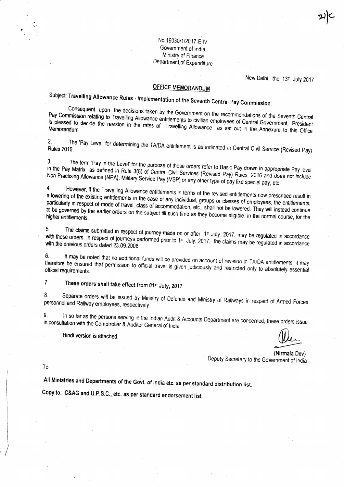No.19030/1/2017-E:IV Government of India Ministry of Finance Department of Expenditure

New Delhi, the 13th July 2017

## **OFFICE MEMORANDUM**

Subject: Travelling Allowance Rules - Implementation of the Seventh Central Pay Commission.

Consequent upon the decisions taken by the Government on the recommendations of the Seventh Central Pay Commission relating to Travelling Allowance entitlements to civilian employees of Central Government, President is pleased to decide the revision in the rates of Travelling Allowance as set out in the Annexure to this Office

 $2<sup>1</sup>$ The 'Pay Level' for determining the TA/DA entitlement is as indicated in Central Civil Service (Revised Pay) **Rules 2016** 

The term 'Pay in the Level' for the purpose of these orders refer to Basic Pay drawn in appropriate Pay level  $\mathbf{3}$ in the Pay Matrix as defined in Rule 3(8) of Central Civil Services (Revised Pay) Rules, 2016 and does not include Non-Practising Allowance (NPA), Military Service Pay (MSP) or any other type of pay like special pay, etc

 $\overline{4}$ . However, if the Travelling Allowance entitlements in terms of the revised entitlements now prescribed result in a lowering of the existing entitlements in the case of any individual, groups or classes of employees, the entitlements, particularly in respect of mode of travel, class of accommodation, etc., shall not be lowered. They will instead continue to be governed by the earlier orders on the subject till such time as they become eligible, in the normal course, for the

The claims submitted in respect of journey made on or after 1st July, 2017, may be regulated in accordance  $5<sub>1</sub>$ with these orders. In respect of journeys performed prior to 1st July, 2017, the claims may be regulated in accordance with the previous orders dated 23.09.2008.

It may be noted that no additional funds will be provided on account of revision in TA/DA entitlements. It may  $6.$ therefore be ensured that permission to official travel is given judiciously and restricted only to absolutely essential

These orders shall take effect from 01st July, 2017  $7<sub>1</sub>$ 

Separate orders will be issued by Ministry of Defence and Ministry of Railways in respect of Armed Forces  $8<sub>1</sub>$ personnel and Railway employees, respectively

9. In so far as the persons serving in the Indian Audit & Accounts Department are concerned, these orders issue in consultation with the Comptroller & Auditor General of India

Hindi version is attached

(Nirmala Dev) Deputy Secretary to the Government of India

To.

All Ministries and Departments of the Govt. of India etc. as per standard distribution list.

Copy to: C&AG and U.P.S.C., etc. as per standard endorsement list.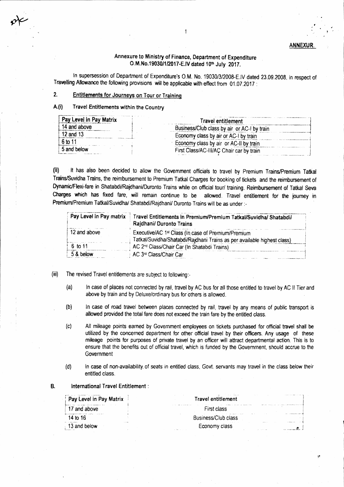### **ANNEXUR**

### Annexure to Ministry of Finance, Department of Expenditure O.M.No.19030/1/2017-E.IV dated 10th July 2017.

 $\ddagger$ 

In supersession of Department of Expenditure's O.M. No. 19030/3/2008-E.IV dated 23.09.2008, in respect of Travelling Allowance the following provisions will be applicable with effect from 01.07.2017 :

#### $2.$ Entitlements for Journeys on Tour or Training

#### $A(f)$ Travel Entitlements within the Country

| Pay Level in Pay Matrix | Travel entitlement                          |  |
|-------------------------|---------------------------------------------|--|
| 14 and above            | Business/Club class by air or AC-I by train |  |
| 12 and 13               | Economy class by air or AC-I by train       |  |
| <b>6</b> to 11          | Economy class by air or AC-II by train      |  |
| 5 and below             | First Class/AC-III/AC Chair car by train    |  |

It has also been decided to allow the Government officials to travel by Premium Trains/Premium Tatkal  $(ii)$ Trains/Suvidha Trains, the reimbursement to Premium Tatkal Charges for booking of tickets and the reimbursement of Dynamic/Flexi-fare in Shatabdi/Rajdhani/Duronto Trains while on official tour/ training. Reimbursement of Tatkal Seva Charges which has fixed fare, will remain continue to be allowed. Travel entitlement for the journey in Premium/Premium Tatkal/Suvidha/ Shatabdi/Rajdhani/ Duronto Trains will be as under :-

|              | Pay Level in Pay matrix   Travel Entitlements in Premium/Premium Tatkal/Suvidha/ Shatabdi/<br>Rajdhani/ Duronto Trains |
|--------------|------------------------------------------------------------------------------------------------------------------------|
| 12 and above | Executive/AC 1 <sup>st</sup> Class (In case of Premium/Premium                                                         |
|              | Tatkal/Suvidha/Shatabdi/Rajdhani Trains as per available highest class)                                                |
| 6 to 11      | AC 2 <sup>nd</sup> Class/Chair Car (In Shatabdi Trains)                                                                |
| 5.8 helow    | AC 3 <sup>rd</sup> Class/Chair Car                                                                                     |

- The revised Travel entitlements are subject to following:- $(iii)$ 
	- In case of places not connected by rail, travel by AC bus for all those entitled to travel by AC II Tier and  $(a)$ above by train and by Deluxe/ordinary bus for others is allowed.
	- $(b)$ In case of road travel between places connected by rail, travel by any means of public transport is allowed provided the total fare does not exceed the train fare by the entitled class.
	- $(c)$ All mileage points earned by Government employees on tickets purchased for official travel shall be utilized by the concerned department for other official travel by their officers. Any usage of these mileage points for purposes of private travel by an officer will attract departmental action. This is to ensure that the benefits out of official travel, which is funded by the Government, should accrue to the Government
	- $(d)$ In case of non-availability of seats in entitled class. Govt, servants may travel in the class below their entitled class.
- International Travel Entitlement : **B.**

| Pay Level in Pay Matrix                                                                                  | .<br><b>STATES</b><br><b>Travel entitlement</b>                                                                      |
|----------------------------------------------------------------------------------------------------------|----------------------------------------------------------------------------------------------------------------------|
| .<br>and above                                                                                           | The first process of the contract of the contract of the contract of the contract of<br>First class                  |
| the state and the con-<br>the construction of the first term of the construction of the con-<br>14 in 16 | <b>Service</b><br><b>Rusiness/Club class</b>                                                                         |
| 1.1114<br>heinw<br>13 and .<br><b>Brooklynd His 1970</b>                                                 | and the state of<br><b>Allegal Corp.</b><br>Economy class<br><b>All 200 Printed</b><br>the first control of the con- |